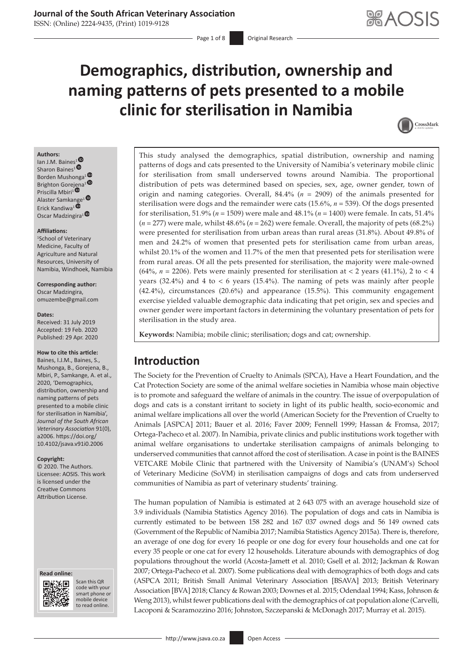# **Demographics, distribution, ownership and naming patterns of pets presented to a mobile clinic for sterilisation in Namibia**



### **Authors:**

lan J.M. Baine[s](https://orcid.org/0000-0002-8920-3386)<sup>1</sub> $\bullet$ </sup> Sharon Baines<sup>1</sup><sup>®</sup> Borden Mushonga[1](https://orcid.org/0000-0003-1062-2201)  Brighton Gor[ejen](https://orcid.org/0000-0002-5549-9772)a<sup>1</sup><sup>®</sup> Priscilla Mbiri<sup>1</sup><sup>®</sup> Alaster Samka[nge](https://orcid.org/0000-0003-0424-3002)<sup>1</sup><sup>®</sup> Erick Kandiwa<sup>1</sup> Oscar Madzingira<sup>1</sup><sup>O</sup>

#### **Affiliations:**

1 School of Veterinary Medicine, Faculty of Agriculture and Natural Resources, University of Namibia, Windhoek, Namibia

**Corresponding author:** Oscar Madzingira, [omuzembe@gmail.com](mailto:omuzembe@gmail.com)

#### **Dates:**

Received: 31 July 2019 Accepted: 19 Feb. 2020 Published: 29 Apr. 2020

#### **How to cite this article:**

Baines, I.J.M., Baines, S., Mushonga, B., Gorejena, B., Mbiri, P., Samkange, A. et al., 2020, 'Demographics, distribution, ownership and naming patterns of pets presented to a mobile clinic for sterilisation in Namibia', *Journal of the South African Veterinary Association* 91(0), a2006. [https://doi.org/](https://doi.org/​10.4102/jsava.v91i0.2006) [10.4102/jsava.v91i0.2006](https://doi.org/​10.4102/jsava.v91i0.2006)

#### **Copyright:**

© 2020. The Authors. Licensee: AOSIS. This work is licensed under the Creative Commons Attribution License.

#### **Read online: Read online:**



Scan this QR code with your Scan this QR<br>code with your<br>smart phone or<br>mobile device mobile device to read online. to read online.

This study analysed the demographics, spatial distribution, ownership and naming patterns of dogs and cats presented to the University of Namibia's veterinary mobile clinic for sterilisation from small underserved towns around Namibia. The proportional distribution of pets was determined based on species, sex, age, owner gender, town of origin and naming categories. Overall, 84.4% (*n* = 2909) of the animals presented for sterilisation were dogs and the remainder were cats (15.6%, *n* = 539). Of the dogs presented for sterilisation, 51.9% (*n* = 1509) were male and 48.1% (*n* = 1400) were female. In cats, 51.4% (*n* = 277) were male, whilst 48.6% (*n* = 262) were female. Overall, the majority of pets (68.2%) were presented for sterilisation from urban areas than rural areas (31.8%). About 49.8% of men and 24.2% of women that presented pets for sterilisation came from urban areas, whilst 20.1% of the women and 11.7% of the men that presented pets for sterilisation were from rural areas. Of all the pets presented for sterilisation, the majority were male-owned (64%,  $n = 2206$ ). Pets were mainly presented for sterilisation at  $\lt 2$  years (41.1%), 2 to  $\lt 4$ years (32.4%) and 4 to < 6 years (15.4%). The naming of pets was mainly after people (42.4%), circumstances (20.6%) and appearance (15.5%). This community engagement exercise yielded valuable demographic data indicating that pet origin, sex and species and owner gender were important factors in determining the voluntary presentation of pets for sterilisation in the study area.

**Keywords:** Namibia; mobile clinic; sterilisation; dogs and cat; ownership.

# **Introduction**

The Society for the Prevention of Cruelty to Animals (SPCA), Have a Heart Foundation, and the Cat Protection Society are some of the animal welfare societies in Namibia whose main objective is to promote and safeguard the welfare of animals in the country. The issue of overpopulation of dogs and cats is a constant irritant to society in light of its public health, socio-economic and animal welfare implications all over the world (American Society for the Prevention of Cruelty to Animals [ASPCA] 2011; Bauer et al. 2016; Faver 2009; Fennell 1999; Hassan & Fromsa, 2017; Ortega-Pacheco et al. 2007). In Namibia, private clinics and public institutions work together with animal welfare organisations to undertake sterilisation campaigns of animals belonging to underserved communities that cannot afford the cost of sterilisation. A case in point is the BAINES VETCARE Mobile Clinic that partnered with the University of Namibia's (UNAM's) School of Veterinary Medicine (SoVM) in sterilisation campaigns of dogs and cats from underserved communities of Namibia as part of veterinary students' training.

The human population of Namibia is estimated at 2 643 075 with an average household size of 3.9 individuals (Namibia Statistics Agency 2016). The population of dogs and cats in Namibia is currently estimated to be between 158 282 and 167 037 owned dogs and 56 149 owned cats (Government of the Republic of Namibia 2017; Namibia Statistics Agency 2015a). There is, therefore, an average of one dog for every 16 people or one dog for every four households and one cat for every 35 people or one cat for every 12 households. Literature abounds with demographics of dog populations throughout the world (Acosta-Jamett et al. 2010; Gsell et al. 2012; Jackman & Rowan 2007; Ortega-Pacheco et al. 2007). Some publications deal with demographics of both dogs and cats (ASPCA 2011; British Small Animal Veterinary Association [BSAVA] 2013; British Veterinary Association [BVA] 2018; Clancy & Rowan 2003; Downes et al. 2015; Odendaal 1994; Kass, Johnson & Weng 2013), whilst fewer publications deal with the demographics of cat population alone (Carvelli, Lacoponi & Scaramozzino 2016; Johnston, Szczepanski & McDonagh 2017; Murray et al. 2015).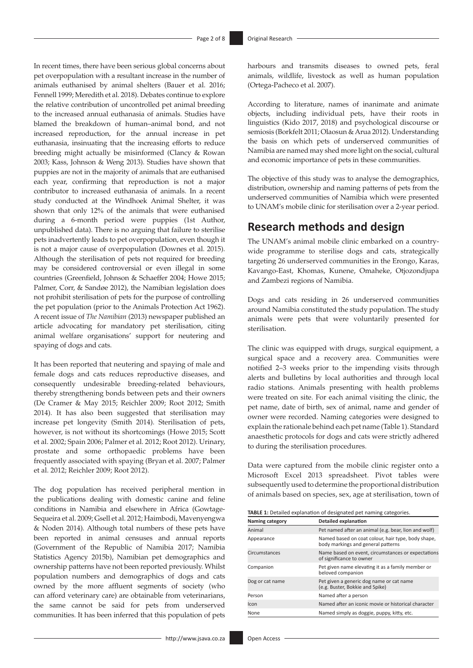In recent times, there have been serious global concerns about pet overpopulation with a resultant increase in the number of animals euthanised by animal shelters (Bauer et al. 2016; Fennell 1999; Meredith et al. 2018). Debates continue to explore the relative contribution of uncontrolled pet animal breeding to the increased annual euthanasia of animals. Studies have blamed the breakdown of human–animal bond, and not increased reproduction, for the annual increase in pet euthanasia, insinuating that the increasing efforts to reduce breeding might actually be misinformed (Clancy & Rowan 2003; Kass, Johnson & Weng 2013). Studies have shown that puppies are not in the majority of animals that are euthanised each year, confirming that reproduction is not a major contributor to increased euthanasia of animals. In a recent study conducted at the Windhoek Animal Shelter, it was shown that only 12% of the animals that were euthanised during a 6-month period were puppies (1st Author, unpublished data). There is no arguing that failure to sterilise pets inadvertently leads to pet overpopulation, even though it is not a major cause of overpopulation (Downes et al. 2015). Although the sterilisation of pets not required for breeding may be considered controversial or even illegal in some countries (Greenfield, Johnson & Schaeffer 2004; Howe 2015; Palmer, Corr, & Sandøe 2012), the Namibian legislation does not prohibit sterilisation of pets for the purpose of controlling the pet population (prior to the Animals Protection Act 1962). A recent issue of *The Namibian* (2013) newspaper published an article advocating for mandatory pet sterilisation, citing animal welfare organisations' support for neutering and spaying of dogs and cats.

It has been reported that neutering and spaying of male and female dogs and cats reduces reproductive diseases, and consequently undesirable breeding-related behaviours, thereby strengthening bonds between pets and their owners (De Cramer & May 2015; Reichler 2009; Root 2012; Smith 2014). It has also been suggested that sterilisation may increase pet longevity (Smith 2014). Sterilisation of pets, however, is not without its shortcomings (Howe 2015; Scott et al. 2002; Spain 2006; Palmer et al. 2012; Root 2012). Urinary, prostate and some orthopaedic problems have been frequently associated with spaying (Bryan et al. 2007; Palmer et al. 2012; Reichler 2009; Root 2012).

The dog population has received peripheral mention in the publications dealing with domestic canine and feline conditions in Namibia and elsewhere in Africa (Gowtage-Sequeira et al. 2009; Gsell et al. 2012; Haimbodi, Mavenyengwa & Noden 2014). Although total numbers of these pets have been reported in animal censuses and annual reports (Government of the Republic of Namibia 2017; Namibia Statistics Agency 2015b), Namibian pet demographics and ownership patterns have not been reported previously. Whilst population numbers and demographics of dogs and cats owned by the more affluent segments of society (who can afford veterinary care) are obtainable from veterinarians, the same cannot be said for pets from underserved communities. It has been inferred that this population of pets

harbours and transmits diseases to owned pets, feral animals, wildlife, livestock as well as human population (Ortega-Pacheco et al. 2007).

According to literature, names of inanimate and animate objects, including individual pets, have their roots in linguistics (Kido 2017, 2018) and psychological discourse or semiosis (Borkfelt 2011; Olaosun & Arua 2012). Understanding the basis on which pets of underserved communities of Namibia are named may shed more light on the social, cultural and economic importance of pets in these communities.

The objective of this study was to analyse the demographics, distribution, ownership and naming patterns of pets from the underserved communities of Namibia which were presented to UNAM's mobile clinic for sterilisation over a 2-year period.

# **Research methods and design**

The UNAM's animal mobile clinic embarked on a countrywide programme to sterilise dogs and cats, strategically targeting 26 underserved communities in the Erongo, Karas, Kavango-East, Khomas, Kunene, Omaheke, Otjozondjupa and Zambezi regions of Namibia.

Dogs and cats residing in 26 underserved communities around Namibia constituted the study population. The study animals were pets that were voluntarily presented for sterilisation.

The clinic was equipped with drugs, surgical equipment, a surgical space and a recovery area. Communities were notified 2–3 weeks prior to the impending visits through alerts and bulletins by local authorities and through local radio stations. Animals presenting with health problems were treated on site. For each animal visiting the clinic, the pet name, date of birth, sex of animal, name and gender of owner were recorded. Naming categories were designed to explain the rationale behind each pet name (Table 1). Standard anaesthetic protocols for dogs and cats were strictly adhered to during the sterilisation procedures.

Data were captured from the mobile clinic register onto a Microsoft Excel 2013 spreadsheet. Pivot tables were subsequently used to determine the proportional distribution of animals based on species, sex, age at sterilisation, town of

**TABLE 1:** Detailed explanation of designated pet naming categories.

| Naming category | Detailed explanation                                                                     |
|-----------------|------------------------------------------------------------------------------------------|
| Animal          | Pet named after an animal (e.g. bear, lion and wolf)                                     |
| Appearance      | Named based on coat colour, hair type, body shape,<br>body markings and general patterns |
| Circumstances   | Name based on event, circumstances or expectations<br>of significance to owner           |
| Companion       | Pet given name elevating it as a family member or<br>beloved companion                   |
| Dog or cat name | Pet given a generic dog name or cat name<br>(e.g. Buster, Bokkie and Spike)              |
| Person          | Named after a person                                                                     |
| Icon            | Named after an iconic movie or historical character                                      |
| None            | Named simply as doggie, puppy, kitty, etc.                                               |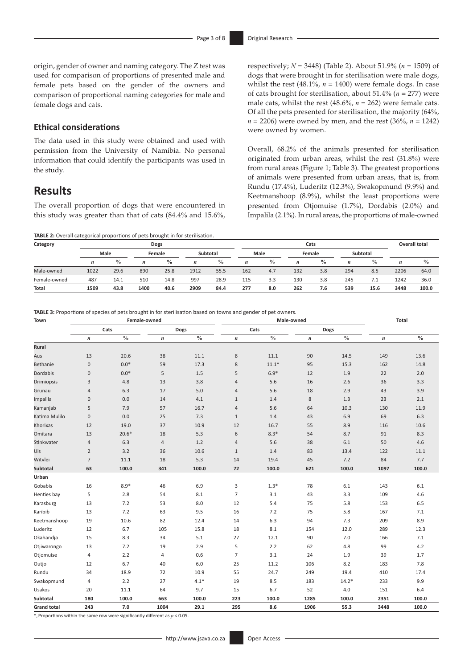origin, gender of owner and naming category. The Z test was used for comparison of proportions of presented male and female pets based on the gender of the owners and comparison of proportional naming categories for male and female dogs and cats.

### **Ethical considerations**

The data used in this study were obtained and used with permission from the University of Namibia. No personal information that could identify the participants was used in the study.

# **Results**

The overall proportion of dogs that were encountered in this study was greater than that of cats (84.4% and 15.6%,

**TABLE 2:** Overall categorical proportions of pets brought in for sterilisation.

respectively; *N* = 3448) (Table 2). About 51.9% (*n* = 1509) of dogs that were brought in for sterilisation were male dogs, whilst the rest  $(48.1\% , n = 1400)$  were female dogs. In case of cats brought for sterilisation, about 51.4% (*n* = 277) were male cats, whilst the rest (48.6%, *n* = 262) were female cats. Of all the pets presented for sterilisation, the majority (64%, *n* = 2206) were owned by men, and the rest (36%, *n* = 1242) were owned by women.

Overall, 68.2% of the animals presented for sterilisation originated from urban areas, whilst the rest (31.8%) were from rural areas (Figure 1; Table 3). The greatest proportions of animals were presented from urban areas, that is, from Rundu (17.4%), Luderitz (12.3%), Swakopmund (9.9%) and Keetmanshoop (8.9%), whilst the least proportions were presented from Otjomuise (1.7%), Dordabis (2.0%) and Impalila (2.1%). In rural areas, the proportions of male-owned

| Category     |                  |               |                  | Dogs          |                  |               |                  | Cats          |     |               |                  |               |                  | <b>Overall total</b> |
|--------------|------------------|---------------|------------------|---------------|------------------|---------------|------------------|---------------|-----|---------------|------------------|---------------|------------------|----------------------|
|              | Male             |               | Female           |               | Subtotal         |               |                  | Male          |     | Female        |                  | Subtotal      |                  |                      |
|              | $\boldsymbol{n}$ | $\frac{0}{0}$ | $\boldsymbol{n}$ | $\frac{0}{0}$ | $\boldsymbol{n}$ | $\frac{0}{0}$ | $\boldsymbol{n}$ | $\frac{0}{0}$ | n   | $\frac{0}{0}$ | $\boldsymbol{n}$ | $\frac{0}{0}$ | $\boldsymbol{n}$ | $\frac{0}{0}$        |
| Male-owned   | 1022             | 29.6          | 890              | 25.8          | 1912             | 55.5          | 162              | 4.7           | 132 | 3.8           | 294              | 8.5           | 2206             | 64.0                 |
| Female-owned | 487              | 14.1          | 510              | 14.8          | 997              | 28.9          | 115              | 3.3           | 130 | 3.8           | 245              |               | 1242             | 36.0                 |
| <b>Total</b> | 1509             | 43.8          | 1400             | 40.6          | 2909             | 84.4          | 277              | 8.0           | 262 | 7.6           | 539              | 15.6          | 3448             | 100.0                |

**TABLE 3:** Proportions of species of pets brought in for sterilisation based on towns and gender of pet owners.

| Town               |                  |               | Female-owned     |               |                  | Male-owned    | <b>Total</b>     |               |                  |                            |  |
|--------------------|------------------|---------------|------------------|---------------|------------------|---------------|------------------|---------------|------------------|----------------------------|--|
|                    |                  | Cats          |                  | Dogs          |                  | Cats          | Dogs             |               |                  |                            |  |
|                    | $\boldsymbol{n}$ | $\frac{0}{0}$ | $\boldsymbol{n}$ | $\frac{0}{0}$ | $\boldsymbol{n}$ | $\frac{0}{0}$ | $\boldsymbol{n}$ | $\frac{0}{0}$ | $\boldsymbol{n}$ | $\mathbf{0/}_{\mathbf{0}}$ |  |
| Rural              |                  |               |                  |               |                  |               |                  |               |                  |                            |  |
| Aus                | 13               | 20.6          | 38               | 11.1          | $\,$ 8 $\,$      | 11.1          | 90               | 14.5          | 149              | 13.6                       |  |
| Bethanie           | $\bf 0$          | $0.0*$        | 59               | 17.3          | $\,8\,$          | $11.1*$       | 95               | 15.3          | 162              | 14.8                       |  |
| Dordabis           | $\bf 0$          | $0.0*$        | 5                | 1.5           | 5                | $6.9*$        | 12               | 1.9           | 22               | 2.0                        |  |
| <b>Drimiopsis</b>  | 3                | 4.8           | 13               | 3.8           | $\overline{4}$   | 5.6           | 16               | 2.6           | 36               | 3.3                        |  |
| Grunau             | $\sqrt{4}$       | 6.3           | 17               | 5.0           | $\overline{4}$   | 5.6           | 18               | 2.9           | 43               | 3.9                        |  |
| Impalila           | $\bf 0$          | 0.0           | 14               | 4.1           | $\mathbf{1}$     | 1.4           | 8                | 1.3           | 23               | 2.1                        |  |
| Kamanjab           | 5                | 7.9           | 57               | 16.7          | $\overline{4}$   | 5.6           | 64               | 10.3          | 130              | 11.9                       |  |
| Katima Mulilo      | $\bf 0$          | $0.0\,$       | 25               | 7.3           | $\mathbf{1}$     | 1.4           | 43               | 6.9           | 69               | 6.3                        |  |
| Khorixas           | 12               | 19.0          | 37               | 10.9          | 12               | 16.7          | 55               | 8.9           | 116              | 10.6                       |  |
| Omitara            | 13               | $20.6*$       | 18               | 5.3           | 6                | $8.3*$        | 54               | 8.7           | 91               | 8.3                        |  |
| Stinkwater         | $\overline{4}$   | 6.3           | 4                | 1.2           | $\overline{4}$   | 5.6           | 38               | 6.1           | 50               | 4.6                        |  |
| Uis                | $\overline{2}$   | 3.2           | 36               | 10.6          | $\mathbf{1}$     | 1.4           | 83               | 13.4          | 122              | 11.1                       |  |
| Witvlei            | $\overline{7}$   | 11.1          | 18               | 5.3           | 14               | 19.4          | 45               | 7.2           | 84               | 7.7                        |  |
| Subtotal           | 63               | 100.0         | 341              | 100.0         | 72               | 100.0         | 621              | 100.0         | 1097             | 100.0                      |  |
| Urban              |                  |               |                  |               |                  |               |                  |               |                  |                            |  |
| Gobabis            | 16               | $8.9*$        | 46               | 6.9           | 3                | $1.3*$        | 78               | 6.1           | 143              | $6.1\,$                    |  |
| Henties bay        | 5                | 2.8           | 54               | 8.1           | $\overline{7}$   | 3.1           | 43               | 3.3           | 109              | 4.6                        |  |
| Karasburg          | 13               | 7.2           | 53               | 8.0           | 12               | 5.4           | 75               | 5.8           | 153              | 6.5                        |  |
| Karibib            | 13               | 7.2           | 63               | 9.5           | 16               | 7.2           | 75               | 5.8           | 167              | 7.1                        |  |
| Keetmanshoop       | 19               | 10.6          | 82               | 12.4          | 14               | 6.3           | 94               | 7.3           | 209              | 8.9                        |  |
| Luderitz           | 12               | 6.7           | 105              | 15.8          | 18               | 8.1           | 154              | 12.0          | 289              | 12.3                       |  |
| Okahandja          | 15               | 8.3           | 34               | 5.1           | 27               | 12.1          | 90               | 7.0           | 166              | 7.1                        |  |
| Otjiwarongo        | 13               | 7.2           | 19               | 2.9           | 5                | 2.2           | 62               | 4.8           | 99               | 4.2                        |  |
| Otjomuise          | 4                | 2.2           | 4                | 0.6           | $\overline{7}$   | 3.1           | 24               | 1.9           | 39               | 1.7                        |  |
| Outjo              | 12               | 6.7           | 40               | 6.0           | 25               | 11.2          | 106              | 8.2           | 183              | 7.8                        |  |
| Rundu              | 34               | 18.9          | 72               | 10.9          | 55               | 24.7          | 249              | 19.4          | 410              | 17.4                       |  |
| Swakopmund         | $\sqrt{4}$       | 2.2           | 27               | $4.1*$        | 19               | 8.5           | 183              | $14.2*$       | 233              | 9.9                        |  |
| Usakos             | 20               | 11.1          | 64               | 9.7           | 15               | 6.7           | 52               | 4.0           | 151              | 6.4                        |  |
| Subtotal           | 180              | 100.0         | 663              | 100.0         | 223              | 100.0         | 1285             | 100.0         | 2351             | 100.0                      |  |
| <b>Grand total</b> | 243              | 7.0           | 1004             | 29.1          | 295              | 8.6           | 1906             | 55.3          | 3448             | 100.0                      |  |

\*, Proportions within the same row were significantly different as *p* < 0.05.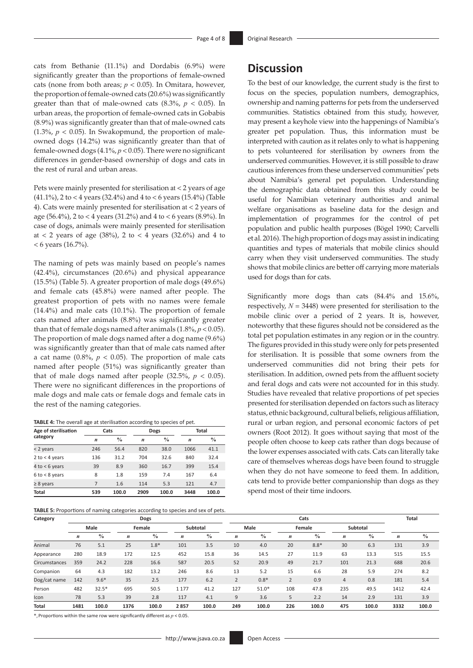cats from Bethanie (11.1%) and Dordabis (6.9%) were significantly greater than the proportions of female-owned cats (none from both areas; *p* < 0.05). In Omitara, however, the proportion of female-owned cats (20.6%) was significantly greater than that of male-owned cats  $(8.3\%, p < 0.05)$ . In urban areas, the proportion of female-owned cats in Gobabis (8.9%) was significantly greater than that of male-owned cats (1.3%,  $p < 0.05$ ). In Swakopmund, the proportion of maleowned dogs (14.2%) was significantly greater than that of female-owned dogs (4.1%, *p* < 0.05). There were no significant differences in gender-based ownership of dogs and cats in the rest of rural and urban areas.

Pets were mainly presented for sterilisation at < 2 years of age (41.1%), 2 to < 4 years (32.4%) and 4 to < 6 years (15.4%) (Table 4). Cats were mainly presented for sterilisation at < 2 years of age (56.4%), 2 to < 4 years (31.2%) and 4 to < 6 years (8.9%). In case of dogs, animals were mainly presented for sterilisation at < 2 years of age (38%), 2 to < 4 years (32.6%) and 4 to < 6 years (16.7%).

The naming of pets was mainly based on people's names (42.4%), circumstances (20.6%) and physical appearance (15.5%) (Table 5). A greater proportion of male dogs (49.6%) and female cats (45.8%) were named after people. The greatest proportion of pets with no names were female (14.4%) and male cats (10.1%). The proportion of female cats named after animals (8.8%) was significantly greater than that of female dogs named after animals  $(1.8\%, p < 0.05)$ . The proportion of male dogs named after a dog name (9.6%) was significantly greater than that of male cats named after a cat name  $(0.8\%, p < 0.05)$ . The proportion of male cats named after people (51%) was significantly greater than that of male dogs named after people  $(32.5\%, p < 0.05)$ . There were no significant differences in the proportions of male dogs and male cats or female dogs and female cats in the rest of the naming categories.

| TABLE 4: The overall age at sterilisation according to species of pet. |  |  |  |
|------------------------------------------------------------------------|--|--|--|
|------------------------------------------------------------------------|--|--|--|

| Age of sterilisation |                  | Cats          |                  | Dogs          | Total            |               |  |
|----------------------|------------------|---------------|------------------|---------------|------------------|---------------|--|
| category             | $\boldsymbol{n}$ | $\frac{0}{0}$ | $\boldsymbol{n}$ | $\frac{0}{0}$ | $\boldsymbol{n}$ | $\frac{0}{0}$ |  |
| < 2 years            | 246              | 56.4          | 820              | 38.0          | 1066             | 41.1          |  |
| 2 to $<$ 4 years     | 136              | 31.2          | 704              | 32.6          | 840              | 32.4          |  |
| 4 to $<$ 6 years     | 39               | 8.9           | 360              | 16.7          | 399              | 15.4          |  |
| $6$ to $<$ 8 years   | 8                | 1.8           | 159              | 7.4           | 167              | 6.4           |  |
| $\geq 8$ years       | 7                | 1.6           | 114              | 5.3           | 121              | 4.7           |  |
| <b>Total</b>         | 539              | 100.0         | 2909             | 100.0         | 3448             | 100.0         |  |

**TABLE 5:** Proportions of naming categories according to species and sex of pets.

### **Discussion**

To the best of our knowledge, the current study is the first to focus on the species, population numbers, demographics, ownership and naming patterns for pets from the underserved communities. Statistics obtained from this study, however, may present a keyhole view into the happenings of Namibia's greater pet population. Thus, this information must be interpreted with caution as it relates only to what is happening to pets volunteered for sterilisation by owners from the underserved communities. However, it is still possible to draw cautious inferences from these underserved communities' pets about Namibia's general pet population. Understanding the demographic data obtained from this study could be useful for Namibian veterinary authorities and animal welfare organisations as baseline data for the design and implementation of programmes for the control of pet population and public health purposes (Bögel 1990; Carvelli et al. 2016). The high proportion of dogs may assist in indicating quantities and types of materials that mobile clinics should carry when they visit underserved communities. The study shows that mobile clinics are better off carrying more materials used for dogs than for cats.

Significantly more dogs than cats (84.4% and 15.6%, respectively, *N* = 3448) were presented for sterilisation to the mobile clinic over a period of 2 years. It is, however, noteworthy that these figures should not be considered as the total pet population estimates in any region or in the country. The figures provided in this study were only for pets presented for sterilisation. It is possible that some owners from the underserved communities did not bring their pets for sterilisation. In addition, owned pets from the affluent society and feral dogs and cats were not accounted for in this study. Studies have revealed that relative proportions of pet species presented for sterilisation depended on factors such as literacy status, ethnic background, cultural beliefs, religious affiliation, rural or urban region, and personal economic factors of pet owners (Root 2012). It goes without saying that most of the people often choose to keep cats rather than dogs because of the lower expenses associated with cats. Cats can literally take care of themselves whereas dogs have been found to struggle when they do not have someone to feed them. In addition, cats tend to provide better companionship than dogs as they spend most of their time indoors.

| Category      |                  |               |                  | Dogs          |                  |               | Cats             |               |                  |               |                  |               | <b>Total</b>     |               |
|---------------|------------------|---------------|------------------|---------------|------------------|---------------|------------------|---------------|------------------|---------------|------------------|---------------|------------------|---------------|
|               | Male             |               | Female           |               | Subtotal         |               |                  | Male          |                  | Female        |                  | Subtotal      |                  |               |
|               | $\boldsymbol{n}$ | $\frac{0}{0}$ | $\boldsymbol{n}$ | $\frac{0}{0}$ | $\boldsymbol{n}$ | $\frac{0}{0}$ | $\boldsymbol{n}$ | $\frac{0}{0}$ | $\boldsymbol{n}$ | $\frac{0}{0}$ | $\boldsymbol{n}$ | $\frac{0}{0}$ | $\boldsymbol{n}$ | $\frac{0}{0}$ |
| Animal        | 76               | 5.1           | 25               | $1.8*$        | 101              | 3.5           | 10               | 4.0           | 20               | $8.8*$        | 30               | 6.3           | 131              | 3.9           |
| Appearance    | 280              | 18.9          | 172              | 12.5          | 452              | 15.8          | 36               | 14.5          | 27               | 11.9          | 63               | 13.3          | 515              | 15.5          |
| Circumstances | 359              | 24.2          | 228              | 16.6          | 587              | 20.5          | 52               | 20.9          | 49               | 21.7          | 101              | 21.3          | 688              | 20.6          |
| Companion     | 64               | 4.3           | 182              | 13.2          | 246              | 8.6           | 13               | 5.2           | 15               | 6.6           | 28               | 5.9           | 274              | 8.2           |
| Dog/cat name  | 142              | $9.6*$        | 35               | 2.5           | 177              | 6.2           | $\overline{2}$   | $0.8*$        | $\overline{2}$   | 0.9           | $\overline{4}$   | 0.8           | 181              | 5.4           |
| Person        | 482              | $32.5*$       | 695              | 50.5          | 1 1 7 7          | 41.2          | 127              | $51.0*$       | 108              | 47.8          | 235              | 49.5          | 1412             | 42.4          |
| Icon          | 78               | 5.3           | 39               | 2.8           | 117              | 4.1           | 9                | 3.6           | 5                | 2.2           | 14               | 2.9           | 131              | 3.9           |
| Total         | 1481             | 100.0         | 1376             | 100.0         | 2857             | 100.0         | 249              | 100.0         | 226              | 100.0         | 475              | 100.0         | 3332             | 100.0         |

\*, Proportions within the same row were significantly different as *p* < 0.05.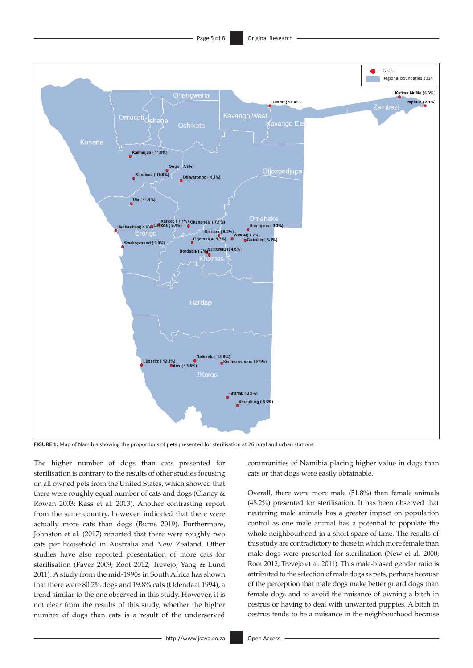

**FIGURE 1:** Map of Namibia showing the proportions of pets presented for sterilisation at 26 rural and urban stations.

The higher number of dogs than cats presented for sterilisation is contrary to the results of other studies focusing on all owned pets from the United States, which showed that there were roughly equal number of cats and dogs (Clancy & Rowan 2003; Kass et al. 2013). Another contrasting report from the same country, however, indicated that there were actually more cats than dogs (Burns 2019). Furthermore, Johnston et al. (2017) reported that there were roughly two cats per household in Australia and New Zealand. Other studies have also reported presentation of more cats for sterilisation (Faver 2009; Root 2012; Trevejo, Yang & Lund 2011). A study from the mid-1990s in South Africa has shown that there were 80.2% dogs and 19.8% cats (Odendaal 1994), a trend similar to the one observed in this study. However, it is not clear from the results of this study, whether the higher number of dogs than cats is a result of the underserved communities of Namibia placing higher value in dogs than cats or that dogs were easily obtainable.

Overall, there were more male (51.8%) than female animals (48.2%) presented for sterilisation. It has been observed that neutering male animals has a greater impact on population control as one male animal has a potential to populate the whole neighbourhood in a short space of time. The results of this study are contradictory to those in which more female than male dogs were presented for sterilisation (New et al. 2000; Root 2012; Trevejo et al. 2011). This male-biased gender ratio is attributed to the selection of male dogs as pets, perhaps because of the perception that male dogs make better guard dogs than female dogs and to avoid the nuisance of owning a bitch in oestrus or having to deal with unwanted puppies. A bitch in oestrus tends to be a nuisance in the neighbourhood because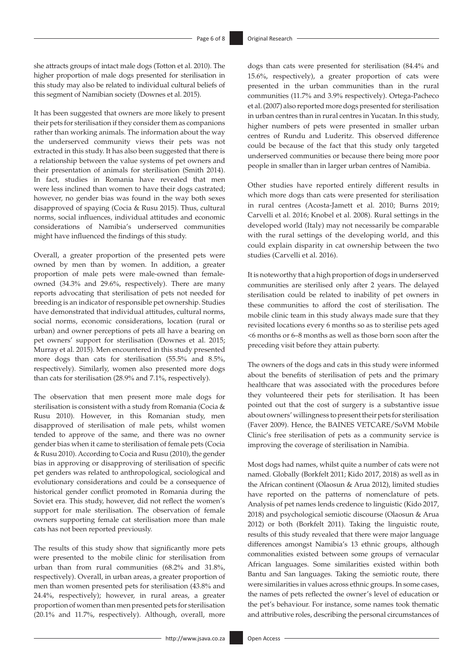she attracts groups of intact male dogs (Totton et al. 2010). The higher proportion of male dogs presented for sterilisation in this study may also be related to individual cultural beliefs of this segment of Namibian society (Downes et al. 2015).

It has been suggested that owners are more likely to present their pets for sterilisation if they consider them as companions rather than working animals. The information about the way the underserved community views their pets was not extracted in this study. It has also been suggested that there is a relationship between the value systems of pet owners and their presentation of animals for sterilisation (Smith 2014). In fact, studies in Romania have revealed that men were less inclined than women to have their dogs castrated; however, no gender bias was found in the way both sexes disapproved of spaying (Cocia & Rusu 2015). Thus, cultural norms, social influences, individual attitudes and economic considerations of Namibia's underserved communities might have influenced the findings of this study.

Overall, a greater proportion of the presented pets were owned by men than by women. In addition, a greater proportion of male pets were male-owned than femaleowned (34.3% and 29.6%, respectively). There are many reports advocating that sterilisation of pets not needed for breeding is an indicator of responsible pet ownership. Studies have demonstrated that individual attitudes, cultural norms, social norms, economic considerations, location (rural or urban) and owner perceptions of pets all have a bearing on pet owners' support for sterilisation (Downes et al. 2015; Murray et al. 2015). Men encountered in this study presented more dogs than cats for sterilisation (55.5% and 8.5%, respectively). Similarly, women also presented more dogs than cats for sterilisation (28.9% and 7.1%, respectively).

The observation that men present more male dogs for sterilisation is consistent with a study from Romania (Cocia & Rusu 2010). However, in this Romanian study, men disapproved of sterilisation of male pets, whilst women tended to approve of the same, and there was no owner gender bias when it came to sterilisation of female pets (Cocia & Rusu 2010). According to Cocia and Rusu (2010), the gender bias in approving or disapproving of sterilisation of specific pet genders was related to anthropological, sociological and evolutionary considerations and could be a consequence of historical gender conflict promoted in Romania during the Soviet era. This study, however, did not reflect the women's support for male sterilisation. The observation of female owners supporting female cat sterilisation more than male cats has not been reported previously.

The results of this study show that significantly more pets were presented to the mobile clinic for sterilisation from urban than from rural communities (68.2% and 31.8%, respectively). Overall, in urban areas, a greater proportion of men than women presented pets for sterilisation (43.8% and 24.4%, respectively); however, in rural areas, a greater proportion of women than men presented pets for sterilisation (20.1% and 11.7%, respectively). Although, overall, more

dogs than cats were presented for sterilisation (84.4% and 15.6%, respectively), a greater proportion of cats were presented in the urban communities than in the rural communities (11.7% and 3.9% respectively). Ortega-Pacheco et al. (2007) also reported more dogs presented for sterilisation in urban centres than in rural centres in Yucatan. In this study, higher numbers of pets were presented in smaller urban centres of Rundu and Luderitz. This observed difference could be because of the fact that this study only targeted underserved communities or because there being more poor people in smaller than in larger urban centres of Namibia.

Other studies have reported entirely different results in which more dogs than cats were presented for sterilisation in rural centres (Acosta-Jamett et al. 2010; Burns 2019; Carvelli et al. 2016; Knobel et al. 2008). Rural settings in the developed world (Italy) may not necessarily be comparable with the rural settings of the developing world, and this could explain disparity in cat ownership between the two studies (Carvelli et al. 2016).

It is noteworthy that a high proportion of dogs in underserved communities are sterilised only after 2 years. The delayed sterilisation could be related to inability of pet owners in these communities to afford the cost of sterilisation. The mobile clinic team in this study always made sure that they revisited locations every 6 months so as to sterilise pets aged <6 months or 6–8 months as well as those born soon after the preceding visit before they attain puberty.

The owners of the dogs and cats in this study were informed about the benefits of sterilisation of pets and the primary healthcare that was associated with the procedures before they volunteered their pets for sterilisation. It has been pointed out that the cost of surgery is a substantive issue about owners' willingness to present their pets for sterilisation (Faver 2009). Hence, the BAINES VETCARE/SoVM Mobile Clinic's free sterilisation of pets as a community service is improving the coverage of sterilisation in Namibia.

Most dogs had names, whilst quite a number of cats were not named. Globally (Borkfelt 2011; Kido 2017, 2018) as well as in the African continent (Olaosun & Arua 2012), limited studies have reported on the patterns of nomenclature of pets. Analysis of pet names lends credence to linguistic (Kido 2017, 2018) and psychological semiotic discourse (Olaosun & Arua 2012) or both (Borkfelt 2011). Taking the linguistic route, results of this study revealed that there were major language differences amongst Namibia's 13 ethnic groups, although commonalities existed between some groups of vernacular African languages. Some similarities existed within both Bantu and San languages. Taking the semiotic route, there were similarities in values across ethnic groups. In some cases, the names of pets reflected the owner's level of education or the pet's behaviour. For instance, some names took thematic and attributive roles, describing the personal circumstances of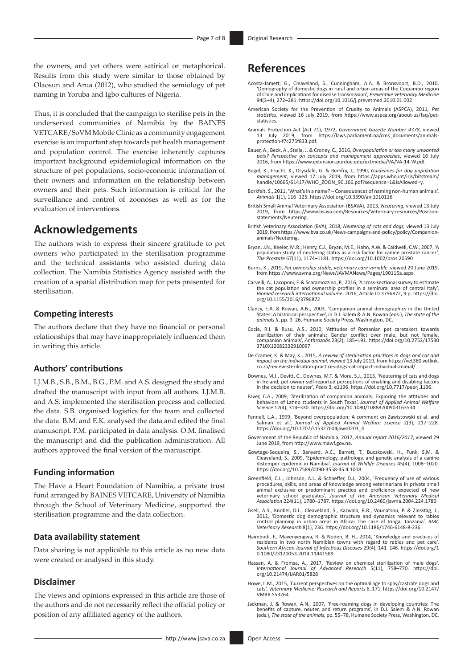the owners, and yet others were satirical or metaphorical. Results from this study were similar to those obtained by Olaosun and Arua (2012), who studied the semiology of pet naming in Yoruba and Igbo cultures of Nigeria.

Thus, it is concluded that the campaign to sterilise pets in the underserved communities of Namibia by the BAINES VETCARE/SoVM Mobile Clinic as a community engagement exercise is an important step towards pet health management and population control. The exercise inherently captures important background epidemiological information on the structure of pet populations, socio-economic information of their owners and information on the relationship between owners and their pets. Such information is critical for the surveillance and control of zoonoses as well as for the evaluation of interventions.

### **Acknowledgements**

The authors wish to express their sincere gratitude to pet owners who participated in the sterilisation programme and the technical assistants who assisted during data collection. The Namibia Statistics Agency assisted with the creation of a spatial distribution map for pets presented for sterilisation.

### **Competing interests**

The authors declare that they have no financial or personal relationships that may have inappropriately influenced them in writing this article.

### **Authors' contributions**

I.J.M.B., S.B., B.M., B.G., P.M. and A.S. designed the study and drafted the manuscript with input from all authors. I.J.M.B. and A.S. implemented the sterilisation process and collected the data. S.B. organised logistics for the team and collected the data. B.M. and E.K. analysed the data and edited the final manuscript. P.M. participated in data analysis. O.M. finalised the manuscript and did the publication administration. All authors approved the final version of the manuscript.

### **Funding information**

The Have a Heart Foundation of Namibia, a private trust fund arranged by BAINES VETCARE, University of Namibia through the School of Veterinary Medicine, supported the sterilisation programme and the data collection.

### **Data availability statement**

Data sharing is not applicable to this article as no new data were created or analysed in this study.

#### **Disclaimer**

The views and opinions expressed in this article are those of the authors and do not necessarily reflect the official policy or position of any affiliated agency of the authors.

# **References**

- Acosta-Jamett, G., Cleaveland, S., Cunningham, A.A. & Bronsvoort, B.D., 2010, 'Demography of domestic dogs in rural and urban areas of the Coquimbo region of Chile and implications for disease transmission', *Preventive Veterinary Medicine* 94(3–4), 272–281. <https://doi.org/10.1016/j.prevetmed.2010.01.002>
- American Society for the Prevention of Cruelty to Animals (ASPCA), 2011, *Pet statistics*, viewed 16 July 2019, from [https://www.aspca.org/about-us/faq/pet](https://www.aspca.org/about-us/faq/pet-statistics)[statistics.](https://www.aspca.org/about-us/faq/pet-statistics)
- Animals Protection Act (Act 71), 1972, *Government Gazette Number 4378*, viewed<br>13 July 2019, from https://laws.parliament.na/cms\_documents/animals-<br>[protection-f7c275f833.pdf.](https://laws.parliament.na/cms_documents/animals-protection-f7c275f833.pdf)
- Bauer, A., Beck, A., Stella, J. & Croney, C., 2016, *Overpopulation or too many unwanted pets? Perspective on concepts and management approaches*, viewed 16 July 2016, from <https://www.extension.purdue.edu/extmedia/VA/VA-14-W.pdf>.
- Bögel, K., Frucht, K., Drysdale, G. & Remfry, J., 1990, *Guidelines for dog population management*, viewed 17 July 2019, from [https://apps.who.int/iris/bitstream/](https://apps.who.int/iris/bitstream/handle/10665/61417/WHO_ZOON_90.166.pdf?sequence=1&isAllowed=y) [handle/10665/61417/WHO\\_ZOON\\_90.166.pdf?sequence=1&isAllowed=y.](https://apps.who.int/iris/bitstream/handle/10665/61417/WHO_ZOON_90.166.pdf?sequence=1&isAllowed=y)
- Borkfelt, S., 2011, 'What's in a name? Consequences of naming non-human animals', *Animals* 1(1), 116–125.<https://doi.org/10.3390/ani1010116>
- British Small Animal Veterinary Association (BSAVA), 2013, *Neutering*, viewed 13 July 2019, from [https://www.bsava.com/Resources/Veterinary-resources/Position](https://www.bsava.com/Resources/Veterinary-resources/Position-statements/Neutering)[statements/Neutering](https://www.bsava.com/Resources/Veterinary-resources/Position-statements/Neutering).
- British Veterinary Association (BVA), 2018, *Neutering of cats and dogs*, viewed 13 July 2019, from [https://www.bva.co.uk/News-campaigns-and-policy/policy/Companion](https://www.bva.co.uk/News-campaigns-and-policy/policy/Companion-animals/Neutering)[animals/Neutering.](https://www.bva.co.uk/News-campaigns-and-policy/policy/Companion-animals/Neutering)
- Bryan, J.N., Keeler, M.R., Henry, C.J., Bryan, M.E., Hahn, A.W. & Caldwell, C.W., 2007, 'A population study of neutering status as a risk factor for canine prostate cancer', *The Prostate* 67(11), 1174–1181.<https://doi.org/10.1002/pros.20590>
- Burns, K., 2019, *Pet ownership stable, veterinary care variable*, viewed 20 June 2019, from<https://www.avma.org/News/JAVMANews/Pages/190115a.aspx>.
- Carvelli, A., Lacoponi, F. & Scaramozzino, P., 2016, 'A cross-sectional survey to estimate the cat population and ownership profiles in a semirural area of central Italy', *Biomed research international volume*, 2016, Article ID 3796872, 9 p. [https://doi.](https://doi.org/10.1155/2016/3796872) [org/10.1155/2016/3796872](https://doi.org/10.1155/2016/3796872)
- Clancy, E.A. & Rowan, A.N., 2003, 'Companion animal demographics in the United States: A historical perspective', in D.J. Salem & A.N. Rowan (eds.), *The state of the animals II*, pp. 9–26, Humane Society Press, Washington, DC.
- Cocia, R.I. & Rusu, A.S., 2010, 'Attitudes of Romanian pet caretakers towards sterilization of their animals: Gender conflict over male, but not female, companion animals', *Anthrozoös* 23(2), 185–191. [https://doi.org/10.2752/17530](https://doi.org/10.2752/175303710X12682332910097) [3710X12682332910097](https://doi.org/10.2752/175303710X12682332910097)
- De Cramer, K. & May, K., 2015, *A review of sterilisation practices in dogs and cat and impact on the individual animal*, viewed 13 July 2019, from [https://vet360.vetlink.](https://vet360.vetlink.co.za/review-sterilisation-practices-dogs-cat-impact-individual-animal/) [co.za/review-sterilisation-practices-dogs-cat-impact-individual-animal/](https://vet360.vetlink.co.za/review-sterilisation-practices-dogs-cat-impact-individual-animal/).
- Downes, M.J., Devitt, C., Downes, M.T. & More, S.J., 2015, 'Neutering of cats and dogs in Ireland; pet owner self-reported perceptions of enabling and disabling factors in the decision to neuter', *PeerJ* 3, e1196. [https://doi.org/10.7717/peerj.1196.](https://doi.org/10.7717/peerj.1196)
- Faver, C.A., 2009, 'Sterilization of companion animals: Exploring the attitudes and behaviors of Latino students in South Texas', *Journal of Applied Animal Welfare Science* 12(4), 314–330. <https://doi.org/10.1080/10888700903163534>
- Fennell, L.A., 1999, 'Beyond overpopulation: A comment on Zawistowski et al. and Salman et al.', *Journal of Applied Animal Welfare Science* 2(3), 217–228. [https://doi.org/10.1207/s15327604jaws0203\\_4](https://doi.org/10.1207/s15327604jaws0203_4)
- Government of the Republic of Namibia, 2017, *Annual report 2016/2017*, viewed 29 June 2019, from [http://www.mawf.gov.na.](http://www.mawf.gov.na)
- Gowtage-Sequeira, S., Banyard, A.C., Barrett, T., Buczkowski, H., Funk, S.M. & Cleaveland, S., 2009, 'Epidemiology, pathology, and genetic analysis of a canine distemper epidemic in Namibia', *Journal of Wildlife Diseases* 45(4), 1008–1020. <https://doi.org/10.7589/0090-3558-45.4.1008>
- Greenfield, C.L., Johnson, A.L. & Schaeffer, D.J., 2004, 'Frequency of use of various procedures, skills, and areas of knowledge among veterinarians in private small animal exclusive or predominant practice and proficiency expected of new<br>veterinary school graduates', Journal of the American Veterinary Medical<br>Association 224(11), 1780–1787. <https://doi.org/10.2460/javma.2004.224.1780>
- Gsell, A.S., Knobel, D.L., Cleaveland, S., Kazwala, R.R., Vounatsou, P. & Zinsstag, J., 2012, 'Domestic dog demographic structure and dynamics relevant to rabies control planning in urban areas in Africa: The case of Iringa, Tanzania', *BMC Veterinary Research* 8(1), 236. <https://doi.org/10.1186/1746-6148-8-236>
- Haimbodi, F., Mavenyengwa, R. & Noden, B. H., 2014, 'Knowledge and practices of residents in two north Namibian towns with regard to rabies and pet care', *Southern African Journal of Infectious Diseases* 29(4), 141–146. [https://doi.org/1](https://doi.org/10.1080/23120053.2014.11441589) [0.1080/23120053.2014.11441589](https://doi.org/10.1080/23120053.2014.11441589)
- Hassan, A. & Fromsa, A., 2017, 'Review on chemical sterilization of male dogs' *International Journal of Advanced Research* 5(11), 758–770. [https://doi.](https://doi.org/10.21474/IJAR01/5828) [org/10.21474/IJAR01/5828](https://doi.org/10.21474/IJAR01/5828)
- Howe, L.M., 2015, 'Current perspectives on the optimal age to spay/castrate dogs and cats', *Veterinary Medicine: Research and Reports* 6, 171. [https://doi.org/10.2147/](https://doi.org/10.2147/VMRR.S53264) [VMRR.S53264](https://doi.org/10.2147/VMRR.S53264)
- Jackman, J. & Rowan, A.N., 2007, 'Free-roaming dogs in developing countries: The benefits of capture, neuter, and return programs', in D.J. Salem & A.N. Rowan (eds.), *The state of the animals,* pp. 55–78, Humane Society Press, Washington, DC.